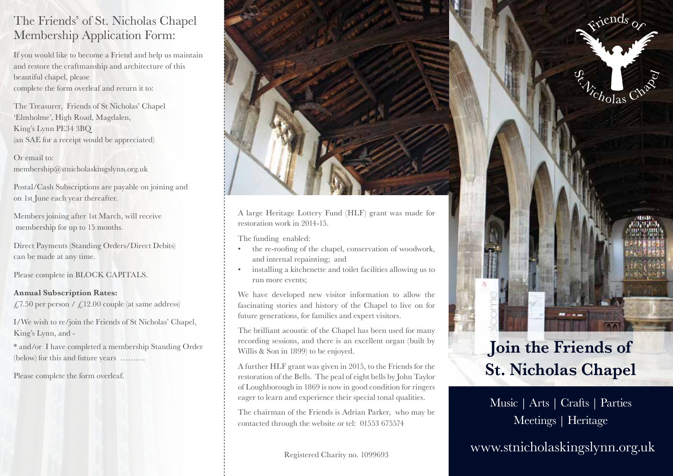## The Friends' of St. Nicholas Chapel Membership Application Form:

If you would like to become a Friend and help us maintain and restore the craftmanship and architecture of this beautiful chapel, please complete the form overleaf and return it to:

The Treasurer, Friends of St Nicholas' Chapel 'Elmholme', High Road, Magdalen, King's Lynn PE34 3BQ (an SAE for a receipt would be appreciated)

Or email to: membership@stnicholaskingslynn.org.uk

Postal/Cash Subscriptions are payable on joining and on 1st June each year thereafter.

Members joining after 1st March, will receive membership for up to 15 months.

Direct Payments (Standing Orders/Direct Debits) can be made at any time.

Please complete in BLOCK CAPITALS.

**Annual Subscription Rates:**  $\angle$  7.50 per person /  $\angle$  12.00 couple (at same address)

I/We wish to re/join the Friends of St Nicholas' Chapel, King's Lynn, and -

\* and/or I have completed a membership Standing Order (below) for this and future years ……….

Please complete the form overleaf.



A large Heritage Lottery Fund (HLF) grant was made for restoration work in 2014-15.

The funding enabled:

- the re-roofing of the chapel, conservation of woodwork, and internal repainting; and
- installing a kitchenette and toilet facilities allowing us to run more events;

We have developed new visitor information to allow the fascinating stories and history of the Chapel to live on for future generations, for families and expert visitors.

The brilliant acoustic of the Chapel has been used for many recording sessions, and there is an excellent organ (built by Willis & Son in 1899) to be enjoyed.

A further HLF grant was given in 2015, to the Friends for the restoration of the Bells. The peal of eight bells by John Taylor of Loughborough in 1869 is now in good condition for ringers eager to learn and experience their special tonal qualities.

The chairman of the Friends is Adrian Parker, who may be contacted through the website or tel: 01553 675574

## **Join the Friends of St. Nicholas Chapel**

 $\hat{\mathbf{x}}$ ciends  $\epsilon$ 

**Excholas** 

Music | Arts | Crafts | Parties Meetings | Heritage

www.stnicholaskingslynn.org.uk